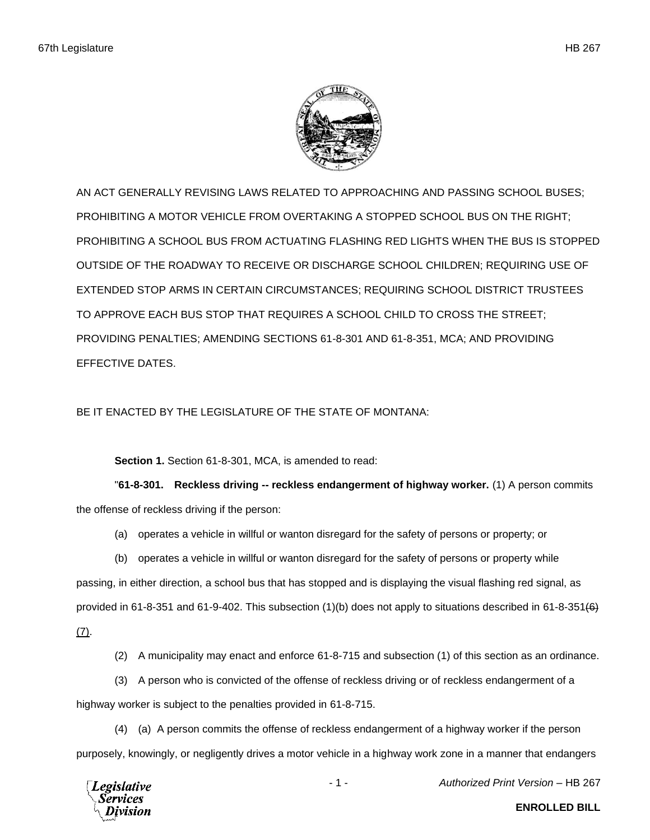

AN ACT GENERALLY REVISING LAWS RELATED TO APPROACHING AND PASSING SCHOOL BUSES; PROHIBITING A MOTOR VEHICLE FROM OVERTAKING A STOPPED SCHOOL BUS ON THE RIGHT; PROHIBITING A SCHOOL BUS FROM ACTUATING FLASHING RED LIGHTS WHEN THE BUS IS STOPPED OUTSIDE OF THE ROADWAY TO RECEIVE OR DISCHARGE SCHOOL CHILDREN; REQUIRING USE OF EXTENDED STOP ARMS IN CERTAIN CIRCUMSTANCES; REQUIRING SCHOOL DISTRICT TRUSTEES TO APPROVE EACH BUS STOP THAT REQUIRES A SCHOOL CHILD TO CROSS THE STREET; PROVIDING PENALTIES; AMENDING SECTIONS 61-8-301 AND 61-8-351, MCA; AND PROVIDING EFFECTIVE DATES.

BE IT ENACTED BY THE LEGISLATURE OF THE STATE OF MONTANA:

**Section 1.** Section 61-8-301, MCA, is amended to read:

"**61-8-301. Reckless driving -- reckless endangerment of highway worker.** (1) A person commits the offense of reckless driving if the person:

(a) operates a vehicle in willful or wanton disregard for the safety of persons or property; or

(b) operates a vehicle in willful or wanton disregard for the safety of persons or property while passing, in either direction, a school bus that has stopped and is displaying the visual flashing red signal, as provided in 61-8-351 and 61-9-402. This subsection  $(1)(b)$  does not apply to situations described in 61-8-351 $(6)$ (7).

(2) A municipality may enact and enforce 61-8-715 and subsection (1) of this section as an ordinance.

(3) A person who is convicted of the offense of reckless driving or of reckless endangerment of a highway worker is subject to the penalties provided in 61-8-715.

(4) (a) A person commits the offense of reckless endangerment of a highway worker if the person purposely, knowingly, or negligently drives a motor vehicle in a highway work zone in a manner that endangers



- 1 - *Authorized Print Version* – HB 267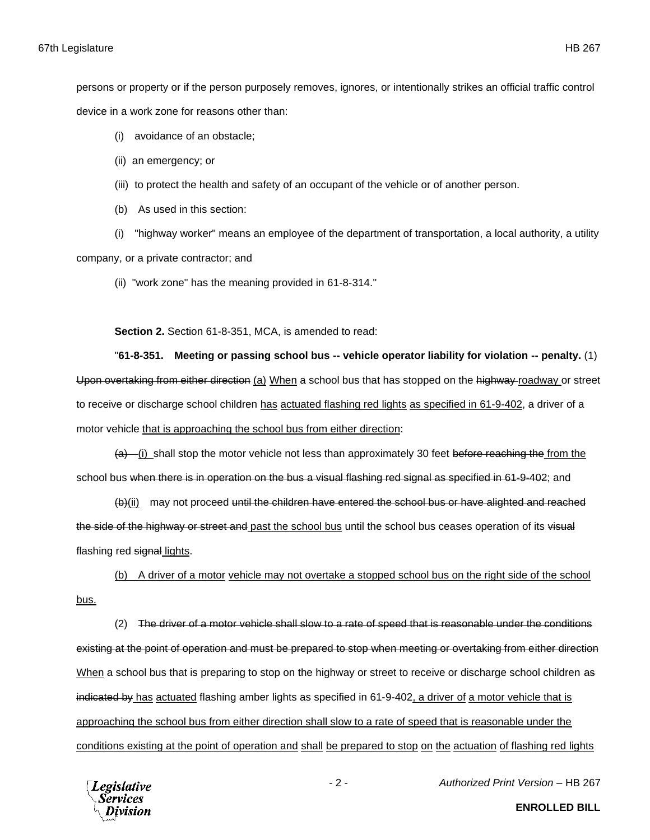persons or property or if the person purposely removes, ignores, or intentionally strikes an official traffic control device in a work zone for reasons other than:

- (i) avoidance of an obstacle;
- (ii) an emergency; or
- (iii) to protect the health and safety of an occupant of the vehicle or of another person.
- (b) As used in this section:

(i) "highway worker" means an employee of the department of transportation, a local authority, a utility company, or a private contractor; and

(ii) "work zone" has the meaning provided in 61-8-314."

**Section 2.** Section 61-8-351, MCA, is amended to read:

"**61-8-351. Meeting or passing school bus -- vehicle operator liability for violation -- penalty.** (1) Upon overtaking from either direction (a) When a school bus that has stopped on the highway-roadway or street to receive or discharge school children has actuated flashing red lights as specified in 61-9-402, a driver of a motor vehicle that is approaching the school bus from either direction:

 $(a)$  (i) shall stop the motor vehicle not less than approximately 30 feet before reaching the from the school bus when there is in operation on the bus a visual flashing red signal as specified in 61-9-402; and

(b)(iii) may not proceed until the children have entered the school bus or have alighted and reached the side of the highway or street and past the school bus until the school bus ceases operation of its visual flashing red signal lights.

(b) A driver of a motor vehicle may not overtake a stopped school bus on the right side of the school bus.

(2) The driver of a motor vehicle shall slow to a rate of speed that is reasonable under the conditions existing at the point of operation and must be prepared to stop when meeting or overtaking from either direction When a school bus that is preparing to stop on the highway or street to receive or discharge school children as indicated by has actuated flashing amber lights as specified in 61-9-402, a driver of a motor vehicle that is approaching the school bus from either direction shall slow to a rate of speed that is reasonable under the conditions existing at the point of operation and shall be prepared to stop on the actuation of flashing red lights



- 2 - *Authorized Print Version* – HB 267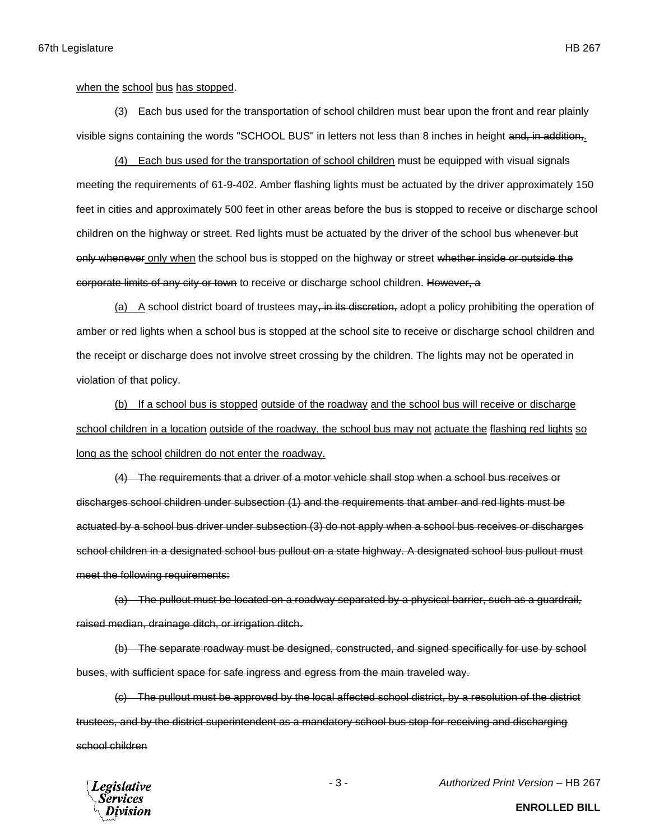when the school bus has stopped.

(3) Each bus used for the transportation of school children must bear upon the front and rear plainly visible signs containing the words "SCHOOL BUS" in letters not less than 8 inches in height and, in addition,.

(4) Each bus used for the transportation of school children must be equipped with visual signals meeting the requirements of 61-9-402. Amber flashing lights must be actuated by the driver approximately 150 feet in cities and approximately 500 feet in other areas before the bus is stopped to receive or discharge school children on the highway or street. Red lights must be actuated by the driver of the school bus whenever but only whenever only when the school bus is stopped on the highway or street whether inside or outside the corporate limits of any city or town to receive or discharge school children. However, a

(a) A school district board of trustees may, in its discretion, adopt a policy prohibiting the operation of amber or red lights when a school bus is stopped at the school site to receive or discharge school children and the receipt or discharge does not involve street crossing by the children. The lights may not be operated in violation of that policy.

(b) If a school bus is stopped outside of the roadway and the school bus will receive or discharge school children in a location outside of the roadway, the school bus may not actuate the flashing red lights so long as the school children do not enter the roadway.

(4) The requirements that a driver of a motor vehicle shall stop when a school bus receives or discharges school children under subsection (1) and the requirements that amber and red lights must be actuated by a school bus driver under subsection (3) do not apply when a school bus receives or discharges school children in a designated school bus pullout on a state highway. A designated school bus pullout must meet the following requirements:

(a) The pullout must be located on a roadway separated by a physical barrier, such as a guardrail, raised median, drainage ditch, or irrigation ditch.

(b) The separate roadway must be designed, constructed, and signed specifically for use by school buses, with sufficient space for safe ingress and egress from the main traveled way.

(c) The pullout must be approved by the local affected school district, by a resolution of the district trustees, and by the district superintendent as a mandatory school bus stop for receiving and discharging school children



- 3 - *Authorized Print Version* – HB 267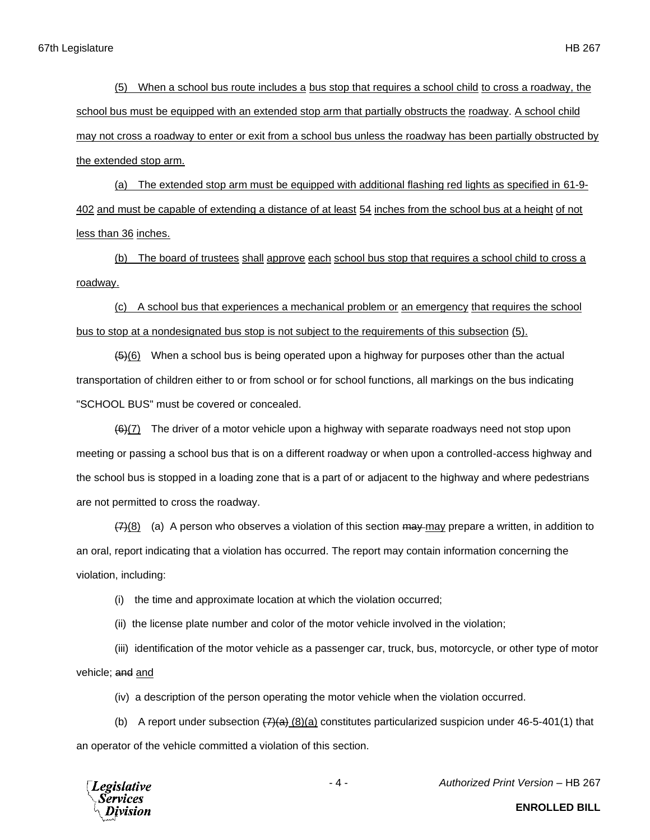(5) When a school bus route includes a bus stop that requires a school child to cross a roadway, the school bus must be equipped with an extended stop arm that partially obstructs the roadway. A school child may not cross a roadway to enter or exit from a school bus unless the roadway has been partially obstructed by the extended stop arm.

(a) The extended stop arm must be equipped with additional flashing red lights as specified in 61-9- 402 and must be capable of extending a distance of at least 54 inches from the school bus at a height of not less than 36 inches.

(b) The board of trustees shall approve each school bus stop that requires a school child to cross a roadway.

(c) A school bus that experiences a mechanical problem or an emergency that requires the school bus to stop at a nondesignated bus stop is not subject to the requirements of this subsection (5).

 $(45)(6)$  When a school bus is being operated upon a highway for purposes other than the actual transportation of children either to or from school or for school functions, all markings on the bus indicating "SCHOOL BUS" must be covered or concealed.

 $(6)(7)$  The driver of a motor vehicle upon a highway with separate roadways need not stop upon meeting or passing a school bus that is on a different roadway or when upon a controlled-access highway and the school bus is stopped in a loading zone that is a part of or adjacent to the highway and where pedestrians are not permitted to cross the roadway.

 $(7)(8)$  (a) A person who observes a violation of this section  $\theta$  may may prepare a written, in addition to an oral, report indicating that a violation has occurred. The report may contain information concerning the violation, including:

(i) the time and approximate location at which the violation occurred;

(ii) the license plate number and color of the motor vehicle involved in the violation;

(iii) identification of the motor vehicle as a passenger car, truck, bus, motorcycle, or other type of motor vehicle; and and

(iv) a description of the person operating the motor vehicle when the violation occurred.

(b) A report under subsection  $\left(7\right)\left(4\right)$  (8)(a) constitutes particularized suspicion under 46-5-401(1) that an operator of the vehicle committed a violation of this section.



- 4 - *Authorized Print Version* – HB 267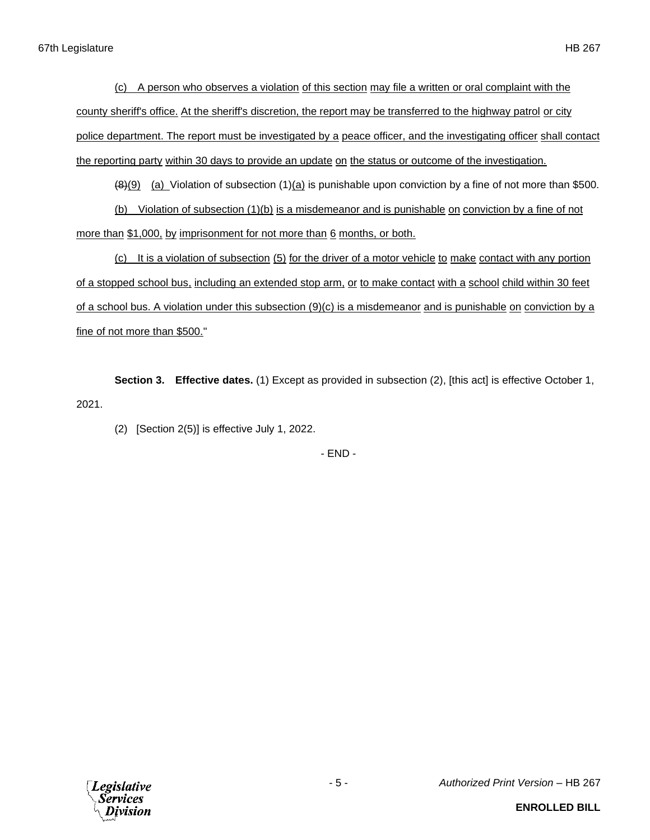(c) A person who observes a violation of this section may file a written or oral complaint with the county sheriff's office. At the sheriff's discretion, the report may be transferred to the highway patrol or city police department. The report must be investigated by a peace officer, and the investigating officer shall contact the reporting party within 30 days to provide an update on the status or outcome of the investigation.

 $(8)(9)$  (a) Violation of subsection (1)(a) is punishable upon conviction by a fine of not more than \$500.

(b) Violation of subsection (1)(b) is a misdemeanor and is punishable on conviction by a fine of not more than \$1,000, by imprisonment for not more than 6 months, or both.

(c) It is a violation of subsection (5) for the driver of a motor vehicle to make contact with any portion of a stopped school bus, including an extended stop arm, or to make contact with a school child within 30 feet of a school bus. A violation under this subsection (9)(c) is a misdemeanor and is punishable on conviction by a fine of not more than \$500."

**Section 3. Effective dates.** (1) Except as provided in subsection (2), [this act] is effective October 1, 2021.

(2) [Section 2(5)] is effective July 1, 2022.

- END -



- 5 - *Authorized Print Version* – HB 267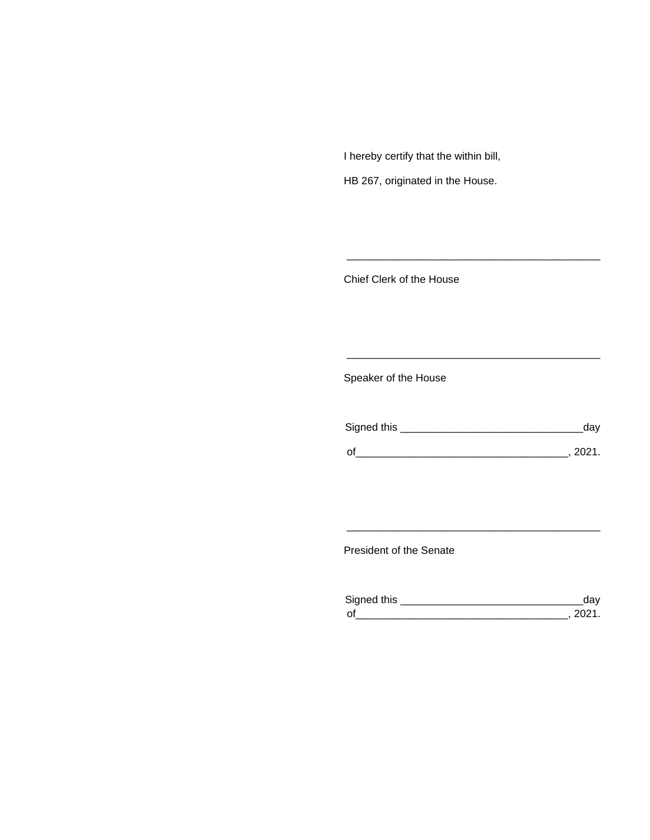I hereby certify that the within bill,

HB 267, originated in the House.

Chief Clerk of the House

Speaker of the House

| Signed this | dav  |
|-------------|------|
| $\Omega$    | 2021 |

\_\_\_\_\_\_\_\_\_\_\_\_\_\_\_\_\_\_\_\_\_\_\_\_\_\_\_\_\_\_\_\_\_\_\_\_\_\_\_\_\_\_\_

\_\_\_\_\_\_\_\_\_\_\_\_\_\_\_\_\_\_\_\_\_\_\_\_\_\_\_\_\_\_\_\_\_\_\_\_\_\_\_\_\_\_\_

President of the Senate

| Sianed this |  |
|-------------|--|
| $\Omega$    |  |

\_\_\_\_\_\_\_\_\_\_\_\_\_\_\_\_\_\_\_\_\_\_\_\_\_\_\_\_\_\_\_\_\_\_\_\_\_\_\_\_\_\_\_